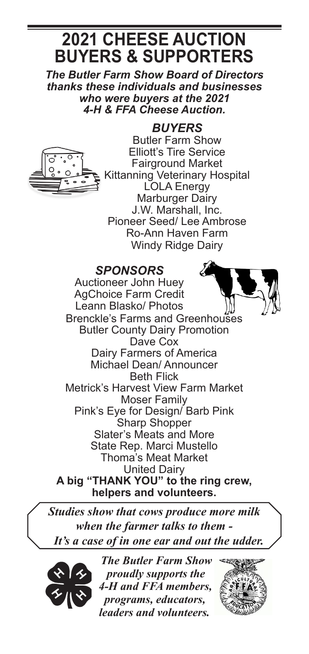# **2021 CHEESE AUCTION BUYERS & SUPPORTERS**

*The Butler Farm Show Board of Directors thanks these individuals and businesses who were buyers at the 2021 4-H & FFA Cheese Auction.*



*BUYERS* Butler Farm Show Elliott's Tire Service Fairground Market Kittanning Veterinary Hospital LOLA Energy Marburger Dairy J.W. Marshall, Inc. Pioneer Seed/ Lee Ambrose Ro-Ann Haven Farm Windy Ridge Dairy

## *SPONSORS*

Auctioneer John Huey AgChoice Farm Credit Leann Blasko/ Photos Brenckle's Farms and Greenhouses Butler County Dairy Promotion Dave Cox Dairy Farmers of America Michael Dean/ Announcer Beth Flick Metrick's Harvest View Farm Market Moser Family Pink's Eye for Design/ Barb Pink Sharp Shopper Slater's Meats and More State Rep. Marci Mustello Thoma's Meat Market United Dairy A big "THANK YOU" to the ring crew, **helpers and volunteers.**

*Studies show that cows produce more milk when the farmer talks to them - It's a case of in one ear and out the udder.*



*The Butler Farm Show proudly supports the 4-H and FFA members, programs, educators, leaders and volunteers.*

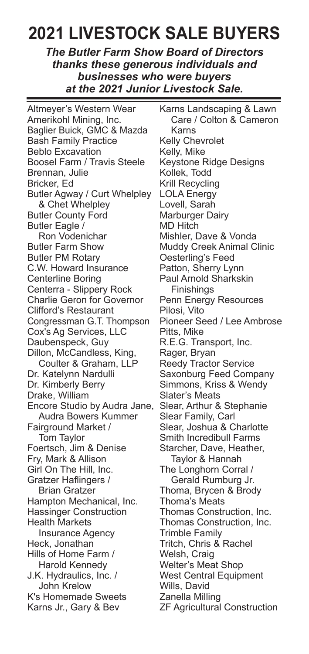# **2021 LIVESTOCK SALE BUYERS**

*The Butler Farm Show Board of Directors thanks these generous individuals and businesses who were buyers at the 2021 Junior Livestock Sale.*

Altmeyer's Western Wear Amerikohl Mining, Inc. Baglier Buick, GMC & Mazda Bash Family Practice Beblo Excavation Boosel Farm / Travis Steele Brennan, Julie Bricker, Ed Butler Agway / Curt Whelpley & Chet Whelpley Butler County Ford Butler Eagle / Ron Vodenichar Butler Farm Show Butler PM Rotary C.W. Howard Insurance Centerline Boring Centerra - Slippery Rock Charlie Geron for Governor Clifford's Restaurant Congressman G.T. Thompson Cox's Ag Services, LLC Daubenspeck, Guy Dillon, McCandless, King, Coulter & Graham, LLP Dr. Katelynn Nardulli Dr. Kimberly Berry Drake, William Encore Studio by Audra Jane, Audra Bowers Kummer Fairground Market / Tom Taylor Foertsch, Jim & Denise Fry, Mark & Allison Girl On The Hill, Inc. Gratzer Haflingers / Brian Gratzer Hampton Mechanical, Inc. Hassinger Construction Health Markets Insurance Agency Heck, Jonathan Hills of Home Farm / Harold Kennedy J.K. Hydraulics, Inc. / John Krelow K's Homemade Sweets Karns Jr., Gary & Bev

Karns Landscaping & Lawn Care / Colton & Cameron Karns Kelly Chevrolet Kelly, Mike Keystone Ridge Designs Kollek, Todd Krill Recycling LOLA Energy Lovell, Sarah Marburger Dairy MD Hitch Mishler, Dave & Vonda Muddy Creek Animal Clinic Oesterling's Feed Patton, Sherry Lynn Paul Arnold Sharkskin Finishings Penn Energy Resources Pilosi, Vito Pioneer Seed / Lee Ambrose Pitts, Mike R.E.G. Transport, Inc. Rager, Bryan Reedy Tractor Service Saxonburg Feed Company Simmons, Kriss & Wendy Slater's Meats Slear, Arthur & Stephanie Slear Family, Carl Slear, Joshua & Charlotte Smith Incredibull Farms Starcher, Dave, Heather, Taylor & Hannah The Longhorn Corral / Gerald Rumburg Jr. Thoma, Brycen & Brody Thoma's Meats Thomas Construction, Inc. Thomas Construction, Inc. Trimble Family Tritch, Chris & Rachel Welsh, Craig Welter's Meat Shop West Central Equipment Wills, David Zanella Milling ZF Agricultural Construction